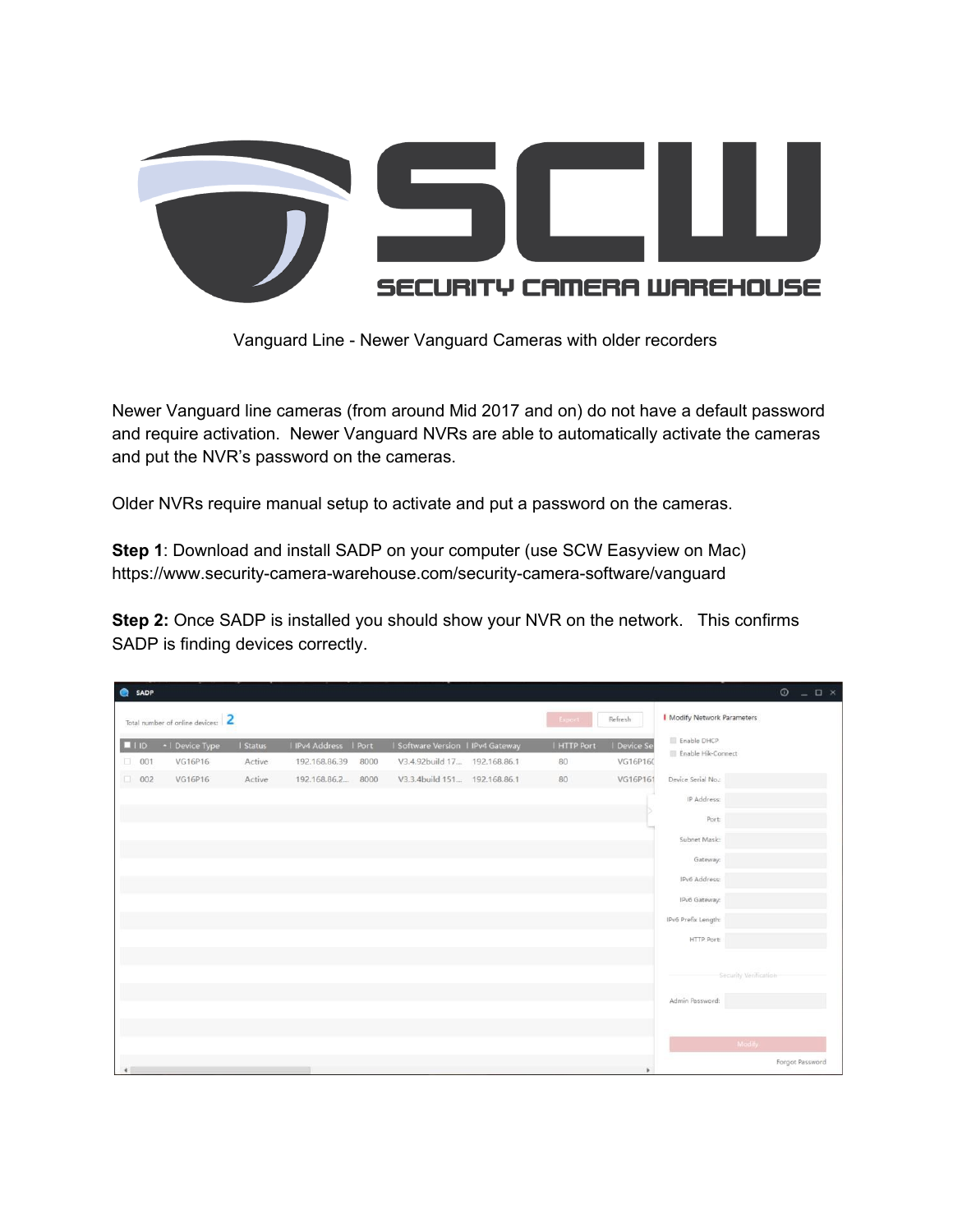

Vanguard Line - Newer Vanguard Cameras with older recorders

Newer Vanguard line cameras (from around Mid 2017 and on) do not have a default password and require activation. Newer Vanguard NVRs are able to automatically activate the cameras and put the NVR's password on the cameras.

Older NVRs require manual setup to activate and put a password on the cameras.

**Step 1**: Download and install SADP on your computer (use SCW Easyview on Mac) https://www.security-camera-warehouse.com/security-camera-software/vanguard

**Step 2:** Once SADP is installed you should show your NVR on the network. This confirms SADP is finding devices correctly.

|                                                        | <b>O</b> SADP<br>$\odot$<br>$  \sqrt{2}$ $\times$ |                 |        |                     |      |                                 |  |             |                                    |                                   |  |
|--------------------------------------------------------|---------------------------------------------------|-----------------|--------|---------------------|------|---------------------------------|--|-------------|------------------------------------|-----------------------------------|--|
| Total number of online devices: 2<br>Refresh<br>Export |                                                   |                 |        |                     |      |                                 |  |             | <b>I</b> Modify Network Parameters |                                   |  |
|                                                        | $\blacksquare$                                    | •   Device Type | Status | IPv4 Address   Port |      | Software Version   IPv4 Gateway |  | I HTTP Port | I Device Se                        | Enable DHCP<br>Enable Hik-Connect |  |
|                                                        | $\Box$ 001                                        | VG16P16         | Active | 192.168.86.39       | 8000 | V3.4.92build 17 192.168.86.1    |  | 80          | VG16P160                           |                                   |  |
|                                                        | $\Box$ 002                                        | VG16P16         | Active | 192.168.86.2 8000   |      | V3.3.4build 151 192.168.86.1    |  | 80          | VG16P161                           | Device Serial No.:                |  |
|                                                        |                                                   |                 |        |                     |      |                                 |  |             |                                    | IP Address:                       |  |
|                                                        |                                                   |                 |        |                     |      |                                 |  |             |                                    | Port                              |  |
|                                                        |                                                   |                 |        |                     |      |                                 |  |             |                                    | Subnet Mask:                      |  |
|                                                        |                                                   |                 |        |                     |      |                                 |  |             |                                    | Gateway:                          |  |
|                                                        |                                                   |                 |        |                     |      |                                 |  |             |                                    | IPv6 Address:                     |  |
|                                                        |                                                   |                 |        |                     |      |                                 |  |             |                                    |                                   |  |
|                                                        |                                                   |                 |        |                     |      |                                 |  |             |                                    | IPv6 Gateway:                     |  |
|                                                        |                                                   |                 |        |                     |      |                                 |  |             |                                    | IPv6 Prefix Length:               |  |
|                                                        |                                                   |                 |        |                     |      |                                 |  |             |                                    | HTTP Port:                        |  |
|                                                        |                                                   |                 |        |                     |      |                                 |  |             |                                    |                                   |  |
|                                                        |                                                   |                 |        |                     |      |                                 |  |             |                                    | Security Verification             |  |
|                                                        |                                                   |                 |        |                     |      |                                 |  |             |                                    | Admin Password:                   |  |
|                                                        |                                                   |                 |        |                     |      |                                 |  |             |                                    |                                   |  |
|                                                        |                                                   |                 |        |                     |      |                                 |  |             |                                    | Modify                            |  |
|                                                        |                                                   |                 |        |                     |      |                                 |  |             |                                    |                                   |  |
|                                                        |                                                   |                 |        |                     |      |                                 |  |             |                                    | Forgot Password                   |  |